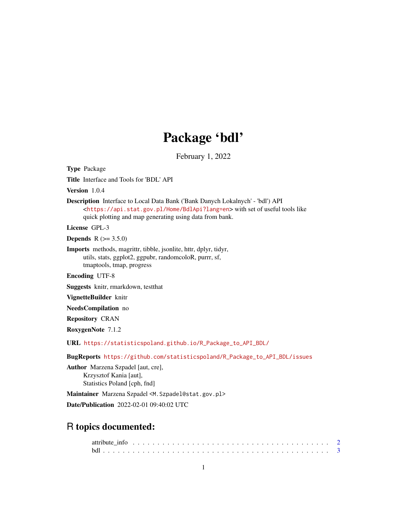## Package 'bdl'

February 1, 2022

<span id="page-0-0"></span>Type Package Title Interface and Tools for 'BDL' API

Version 1.0.4

Description Interface to Local Data Bank ('Bank Danych Lokalnych' - 'bdl') API <<https://api.stat.gov.pl/Home/BdlApi?lang=en>> with set of useful tools like quick plotting and map generating using data from bank.

License GPL-3

**Depends** R  $(>= 3.5.0)$ 

Imports methods, magrittr, tibble, jsonlite, httr, dplyr, tidyr, utils, stats, ggplot2, ggpubr, randomcoloR, purrr, sf, tmaptools, tmap, progress

Encoding UTF-8

Suggests knitr, rmarkdown, testthat

VignetteBuilder knitr

NeedsCompilation no

Repository CRAN

RoxygenNote 7.1.2

URL [https://statisticspoland.github.io/R\\_Package\\_to\\_API\\_BDL/](https://statisticspoland.github.io/R_Package_to_API_BDL/)

BugReports [https://github.com/statisticspoland/R\\_Package\\_to\\_API\\_BDL/issues](https://github.com/statisticspoland/R_Package_to_API_BDL/issues)

Author Marzena Szpadel [aut, cre], Krzysztof Kania [aut], Statistics Poland [cph, fnd]

Maintainer Marzena Szpadel <M. Szpadel@stat.gov.pl> Date/Publication 2022-02-01 09:40:02 UTC

## R topics documented: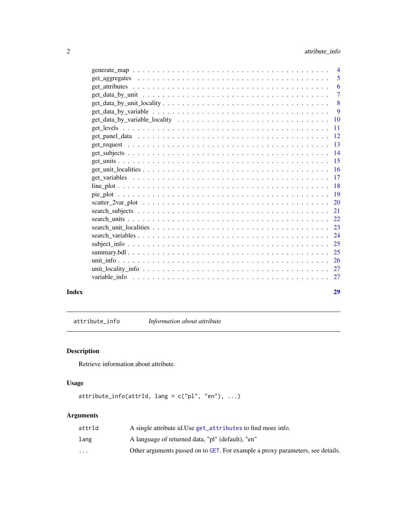<span id="page-1-0"></span>

|                                                                                                              | $\overline{4}$ |
|--------------------------------------------------------------------------------------------------------------|----------------|
|                                                                                                              | 5              |
|                                                                                                              | 6              |
|                                                                                                              | 7              |
| $get\_data_by\_unit\_locality \dots \dots \dots \dots \dots \dots \dots \dots \dots \dots \dots \dots \dots$ | 8              |
|                                                                                                              | 9              |
|                                                                                                              | 10             |
|                                                                                                              | 11             |
|                                                                                                              | 12             |
|                                                                                                              | 13             |
|                                                                                                              | 14             |
|                                                                                                              | 15             |
|                                                                                                              | 16             |
|                                                                                                              | 17             |
|                                                                                                              | 18             |
|                                                                                                              | 19             |
|                                                                                                              | 20             |
|                                                                                                              | 21             |
|                                                                                                              | 22             |
|                                                                                                              | 23             |
|                                                                                                              | 24             |
|                                                                                                              | 25             |
|                                                                                                              | 25             |
|                                                                                                              | 26             |
|                                                                                                              | 27             |
|                                                                                                              | 27             |
|                                                                                                              |                |
|                                                                                                              |                |

#### **Index** [29](#page-28-0)

attribute\_info *Information about attribute*

### Description

Retrieve information about attribute.

### Usage

 $attribute_info(attrId, lang = c("pl", "en"), ...)$ 

| attrId                  | A single attribute id. Use get_attributes to find more info.                   |
|-------------------------|--------------------------------------------------------------------------------|
| lang                    | A language of returned data, "pl" (default), "en"                              |
| $\cdot$ $\cdot$ $\cdot$ | Other arguments passed on to GET. For example a proxy parameters, see details. |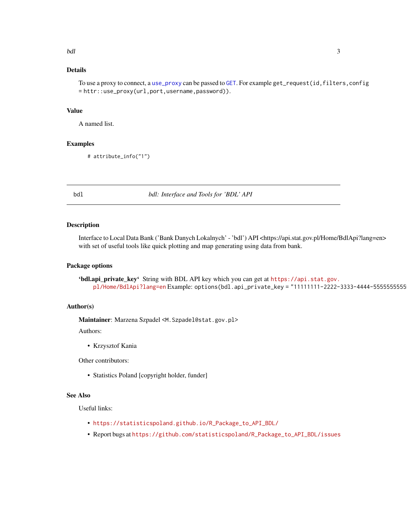### <span id="page-2-0"></span>Details

To use a proxy to connect, a [use\\_proxy](#page-0-0) can be passed to [GET](#page-0-0). For example get\_request(id,filters,config = httr::use\_proxy(url,port,username,password)).

### Value

A named list.

#### Examples

# attribute\_info("1")

bdl *bdl: Interface and Tools for 'BDL' API*

#### Description

Interface to Local Data Bank ('Bank Danych Lokalnych' - 'bdl') API <https://api.stat.gov.pl/Home/BdlApi?lang=en> with set of useful tools like quick plotting and map generating using data from bank.

#### Package options

'bdl.api\_private\_key' String with BDL API key which you can get at [https://api.stat.gov.](https://api.stat.gov.pl/Home/BdlApi?lang=en) [pl/Home/BdlApi?lang=en](https://api.stat.gov.pl/Home/BdlApi?lang=en) Example: options(bdl.api\_private\_key = "11111111-2222-3333-4444-555555555555")

#### Author(s)

Maintainer: Marzena Szpadel <M. Szpadel@stat.gov.pl>

Authors:

• Krzysztof Kania

Other contributors:

• Statistics Poland [copyright holder, funder]

### See Also

Useful links:

- [https://statisticspoland.github.io/R\\_Package\\_to\\_API\\_BDL/](https://statisticspoland.github.io/R_Package_to_API_BDL/)
- Report bugs at [https://github.com/statisticspoland/R\\_Package\\_to\\_API\\_BDL/issues](https://github.com/statisticspoland/R_Package_to_API_BDL/issues)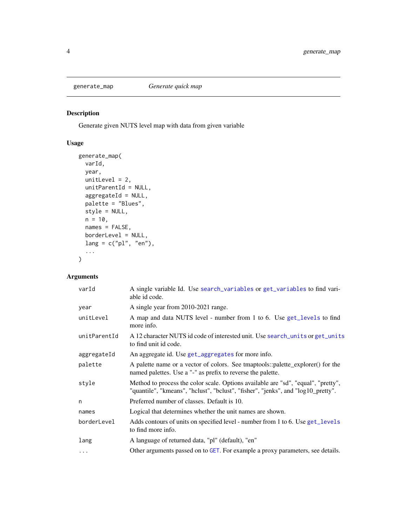<span id="page-3-0"></span>

Generate given NUTS level map with data from given variable

### Usage

```
generate_map(
 varId,
 year,
 unitLevel = 2,
 unitParentId = NULL,
 aggregateId = NULL,
 palette = "Blues",
 style = NULL,
 n = 10,
 names = FALSE,
 borderLevel = NULL,
 lang = c("pl", "en"),...
)
```

| varId        | A single variable Id. Use search_variables or get_variables to find vari-<br>able id code.                                                                            |
|--------------|-----------------------------------------------------------------------------------------------------------------------------------------------------------------------|
| year         | A single year from 2010-2021 range.                                                                                                                                   |
| unitLevel    | A map and data NUTS level - number from 1 to 6. Use get_levels to find<br>more info.                                                                                  |
| unitParentId | A 12 character NUTS id code of interested unit. Use search_units or get_units<br>to find unit id code.                                                                |
| aggregateId  | An aggregate id. Use get_aggregates for more info.                                                                                                                    |
| palette      | A palette name or a vector of colors. See tmaptools::palette_explorer() for the<br>named palettes. Use a "-" as prefix to reverse the palette.                        |
| style        | Method to process the color scale. Options available are "sd", "equal", "pretty",<br>"quantile", "kmeans", "hclust", "bclust", "fisher", "jenks", and "log10_pretty". |
| n            | Preferred number of classes. Default is 10.                                                                                                                           |
| names        | Logical that determines whether the unit names are shown.                                                                                                             |
| borderLevel  | Adds contours of units on specified level - number from 1 to 6. Use get_levels<br>to find more info.                                                                  |
| lang         | A language of returned data, "pl" (default), "en"                                                                                                                     |
| $\cdots$     | Other arguments passed on to GET. For example a proxy parameters, see details.                                                                                        |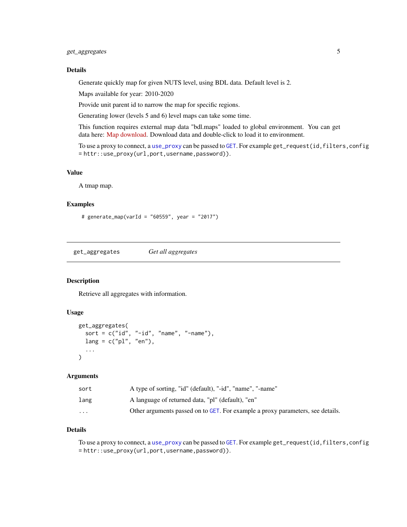### <span id="page-4-0"></span>get\_aggregates 5

### Details

Generate quickly map for given NUTS level, using BDL data. Default level is 2.

Maps available for year: 2010-2020

Provide unit parent id to narrow the map for specific regions.

Generating lower (levels 5 and 6) level maps can take some time.

This function requires external map data "bdl.maps" loaded to global environment. You can get data here: [Map download.](https://github.com/statisticspoland/R_Package_to_API_BDL/releases/tag/1.0.4) Download data and double-click to load it to environment.

To use a proxy to connect, a [use\\_proxy](#page-0-0) can be passed to [GET](#page-0-0). For example get\_request(id,filters,config = httr::use\_proxy(url,port,username,password)).

### Value

A tmap map.

### Examples

```
# generate_map(varId = "60559", year = "2017")
```
<span id="page-4-1"></span>get\_aggregates *Get all aggregates*

### Description

Retrieve all aggregates with information.

### Usage

```
get_aggregates(
  sort = c("id", "-id", "name", "-name"),
  lang = c("pl", "en"),...
)
```
#### Arguments

| sort                    | A type of sorting, "id" (default), "-id", "name", "-name"                      |
|-------------------------|--------------------------------------------------------------------------------|
| lang                    | A language of returned data, "pl" (default), "en"                              |
| $\cdot$ $\cdot$ $\cdot$ | Other arguments passed on to GET. For example a proxy parameters, see details. |

### Details

To use a proxy to connect, a [use\\_proxy](#page-0-0) can be passed to [GET](#page-0-0). For example get\_request(id,filters,config = httr::use\_proxy(url,port,username,password)).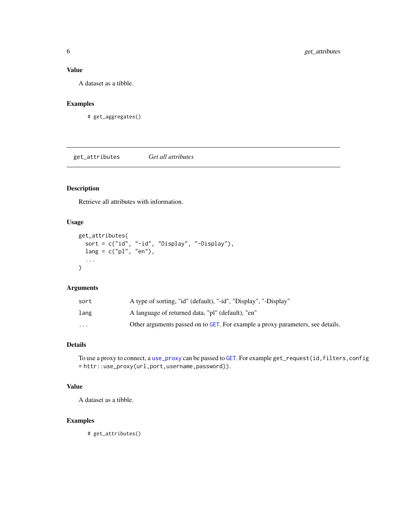### <span id="page-5-0"></span>Value

A dataset as a tibble.

### Examples

# get\_aggregates()

<span id="page-5-1"></span>get\_attributes *Get all attributes*

### Description

Retrieve all attributes with information.

### Usage

```
get_attributes(
  sort = c("id", "-id", "Display", "-Display"),
  lang = c("pl", "en"),...
\mathcal{L}
```
### Arguments

| sort                    | A type of sorting, "id" (default), "-id", "Display", "-Display"                |
|-------------------------|--------------------------------------------------------------------------------|
| lang                    | A language of returned data, "pl" (default), "en"                              |
| $\cdot$ $\cdot$ $\cdot$ | Other arguments passed on to GET. For example a proxy parameters, see details. |

### Details

To use a proxy to connect, a [use\\_proxy](#page-0-0) can be passed to [GET](#page-0-0). For example get\_request(id,filters,config = httr::use\_proxy(url,port,username,password)).

### Value

A dataset as a tibble.

### Examples

# get\_attributes()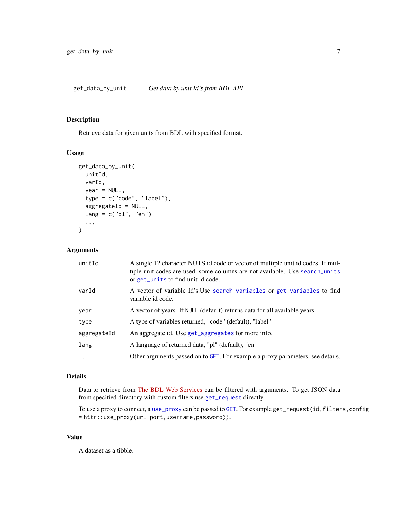<span id="page-6-0"></span>Retrieve data for given units from BDL with specified format.

### Usage

```
get_data_by_unit(
  unitId,
  varId,
  year = NULL,
  type = c("code", "label"),
  aggregateId = NULL,lang = c("pl", "en"),...
\mathcal{L}
```
### Arguments

| unitId      | A single 12 character NUTS id code or vector of multiple unit id codes. If mul-<br>tiple unit codes are used, some columns are not available. Use search_units<br>or get_units to find unit id code. |
|-------------|------------------------------------------------------------------------------------------------------------------------------------------------------------------------------------------------------|
| varId       | A vector of variable Id's. Use search_variables or get_variables to find<br>variable id code.                                                                                                        |
| year        | A vector of years. If NULL (default) returns data for all available years.                                                                                                                           |
| type        | A type of variables returned, "code" (default), "label"                                                                                                                                              |
| aggregateId | An aggregate id. Use get_aggregates for more info.                                                                                                                                                   |
| lang        | A language of returned data, "pl" (default), "en"                                                                                                                                                    |
| $\ddots$ .  | Other arguments passed on to GET. For example a proxy parameters, see details.                                                                                                                       |

### Details

Data to retrieve from [The BDL Web Services](https://bdl.stat.gov.pl) can be filtered with arguments. To get JSON data from specified directory with custom filters use [get\\_request](#page-12-1) directly.

To use a proxy to connect, a [use\\_proxy](#page-0-0) can be passed to [GET](#page-0-0). For example get\_request(id,filters,config = httr::use\_proxy(url,port,username,password)).

### Value

A dataset as a tibble.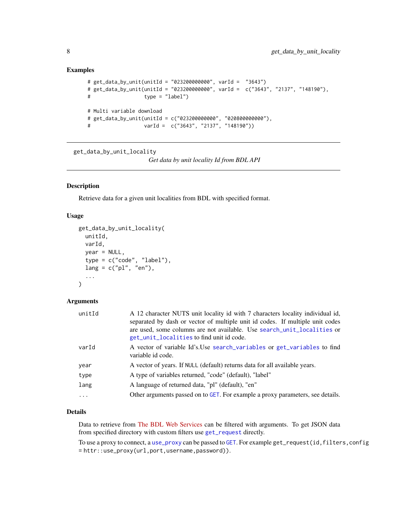### <span id="page-7-0"></span>Examples

```
# get_data_by_unit(unitId = "023200000000", varId = "3643")
# get_data_by_unit(unitId = "023200000000", varId = c("3643", "2137", "148190"),
# type = "label")
# Multi variable download
# get_data_by_unit(unitId = c("023200000000", "020800000000"),
# varId = c("3643", "2137", "148190"))
```

```
get_data_by_unit_locality
```
*Get data by unit locality Id from BDL API*

### Description

Retrieve data for a given unit localities from BDL with specified format.

### Usage

```
get_data_by_unit_locality(
 unitId,
  varId,
  year = NULL,
  type = c("code", "label"),
  lang = c("pl", "en"),
  ...
)
```
#### Arguments

| unitId   | A 12 character NUTS unit locality id with 7 characters locality individual id,<br>separated by dash or vector of multiple unit id codes. If multiple unit codes<br>are used, some columns are not available. Use search_unit_localities or<br>get_unit_localities to find unit id code. |
|----------|-----------------------------------------------------------------------------------------------------------------------------------------------------------------------------------------------------------------------------------------------------------------------------------------|
| varId    | A vector of variable Id's. Use search_variables or get_variables to find<br>variable id code.                                                                                                                                                                                           |
| year     | A vector of years. If NULL (default) returns data for all available years.                                                                                                                                                                                                              |
| type     | A type of variables returned, "code" (default), "label"                                                                                                                                                                                                                                 |
| lang     | A language of returned data, "pl" (default), "en"                                                                                                                                                                                                                                       |
| $\cdots$ | Other arguments passed on to GET. For example a proxy parameters, see details.                                                                                                                                                                                                          |

### Details

Data to retrieve from [The BDL Web Services](https://bdl.stat.gov.pl) can be filtered with arguments. To get JSON data from specified directory with custom filters use [get\\_request](#page-12-1) directly.

To use a proxy to connect, a [use\\_proxy](#page-0-0) can be passed to [GET](#page-0-0). For example get\_request(id,filters,config = httr::use\_proxy(url,port,username,password)).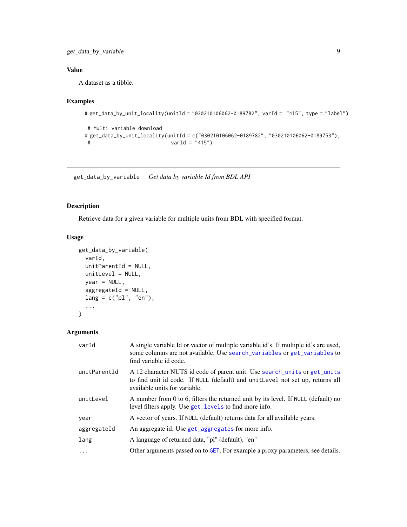### <span id="page-8-0"></span>Value

A dataset as a tibble.

### Examples

```
# get_data_by_unit_locality(unitId = "030210106062-0189782", varId = "415", type = "label")
```

```
# Multi variable download
# get_data_by_unit_locality(unitId = c("030210106062-0189782", "030210106062-0189753"),
# varId = "415")
```
get\_data\_by\_variable *Get data by variable Id from BDL API*

### Description

Retrieve data for a given variable for multiple units from BDL with specified format.

### Usage

```
get_data_by_variable(
 varId,
 unitParentId = NULL,
 unitLevel = NULL,
 year = NULL,
 aggregateId = NULL,
 lang = c("pl", "en"),...
\mathcal{L}
```

| varId        | A single variable Id or vector of multiple variable id's. If multiple id's are used,<br>some columns are not available. Use search_variables or get_variables to<br>find variable id code.   |
|--------------|----------------------------------------------------------------------------------------------------------------------------------------------------------------------------------------------|
| unitParentId | A 12 character NUTS id code of parent unit. Use search_units or get_units<br>to find unit id code. If NULL (default) and unit Level not set up, returns all<br>available units for variable. |
| unitLevel    | A number from 0 to 6, filters the returned unit by its level. If NULL (default) no<br>level filters apply. Use get_levels to find more info.                                                 |
| year         | A vector of years. If NULL (default) returns data for all available years.                                                                                                                   |
| aggregateId  | An aggregate id. Use get_aggregates for more info.                                                                                                                                           |
| lang         | A language of returned data, "pl" (default), "en"                                                                                                                                            |
| $\ddots$ .   | Other arguments passed on to GET. For example a proxy parameters, see details.                                                                                                               |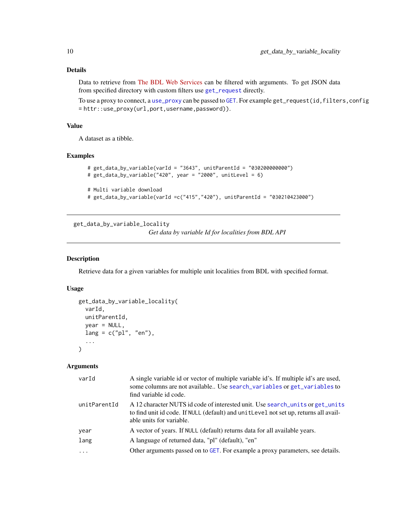### Details

Data to retrieve from [The BDL Web Services](https://bdl.stat.gov.pl) can be filtered with arguments. To get JSON data from specified directory with custom filters use [get\\_request](#page-12-1) directly.

To use a proxy to connect, a [use\\_proxy](#page-0-0) can be passed to [GET](#page-0-0). For example get\_request(id,filters,config = httr::use\_proxy(url,port,username,password)).

#### Value

A dataset as a tibble.

#### Examples

```
# get_data_by_variable(varId = "3643", unitParentId = "030200000000")
# get_data_by_variable("420", year = "2000", unitLevel = 6)
# Multi variable download
```

```
# get_data_by_variable(varId =c("415","420"), unitParentId = "030210423000")
```
get\_data\_by\_variable\_locality

*Get data by variable Id for localities from BDL API*

### Description

Retrieve data for a given variables for multiple unit localities from BDL with specified format.

### Usage

```
get_data_by_variable_locality(
  varId,
  unitParentId,
 year = NULL,
  lang = c("pl", "en"),...
\mathcal{L}
```

| varId        | A single variable id or vector of multiple variable id's. If multiple id's are used,<br>some columns are not available Use search_variables or get_variables to<br>find variable id code.          |
|--------------|----------------------------------------------------------------------------------------------------------------------------------------------------------------------------------------------------|
| unitParentId | A 12 character NUTS id code of interested unit. Use search_units or get_units<br>to find unit id code. If NULL (default) and unit Level not set up, returns all avail-<br>able units for variable. |
| year         | A vector of years. If NULL (default) returns data for all available years.                                                                                                                         |
| lang         | A language of returned data, "pl" (default), "en"                                                                                                                                                  |
| $\cdots$     | Other arguments passed on to GET. For example a proxy parameters, see details.                                                                                                                     |

<span id="page-9-0"></span>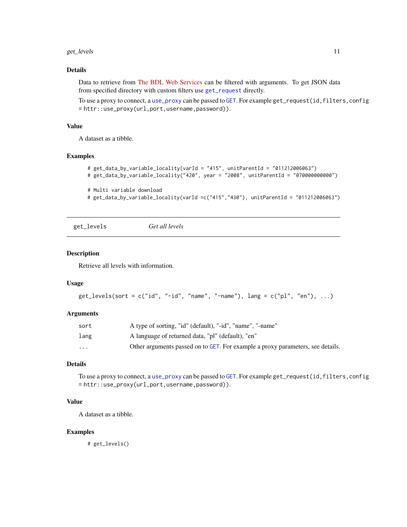#### <span id="page-10-0"></span>get\_levels the contract of the contract of the contract of the contract of the contract of the contract of the contract of the contract of the contract of the contract of the contract of the contract of the contract of the

### Details

Data to retrieve from [The BDL Web Services](https://bdl.stat.gov.pl) can be filtered with arguments. To get JSON data from specified directory with custom filters use [get\\_request](#page-12-1) directly.

To use a proxy to connect, a [use\\_proxy](#page-0-0) can be passed to [GET](#page-0-0). For example get\_request(id,filters,config = httr::use\_proxy(url,port,username,password)).

#### Value

A dataset as a tibble.

#### Examples

```
# get_data_by_variable_locality(varId = "415", unitParentId = "011212006063")
# get_data_by_variable_locality("420", year = "2008", unitParentId = "070000000000")
# Multi variable download
# get_data_by_variable_locality(varId =c("415","430"), unitParentId = "011212006063")
```
<span id="page-10-1"></span>get\_levels *Get all levels*

#### Description

Retrieve all levels with information.

#### Usage

```
get\_levels(sort = c("id", "-id", "name", "-name"), lang = c("pl", "en"), ...)
```
#### Arguments

| sort     | A type of sorting, "id" (default), "-id", "name", "-name"                      |
|----------|--------------------------------------------------------------------------------|
| lang     | A language of returned data, "pl" (default), "en"                              |
| $\cdots$ | Other arguments passed on to GET. For example a proxy parameters, see details. |

### Details

To use a proxy to connect, a [use\\_proxy](#page-0-0) can be passed to [GET](#page-0-0). For example get\_request(id,filters,config = httr::use\_proxy(url,port,username,password)).

#### Value

A dataset as a tibble.

#### Examples

# get\_levels()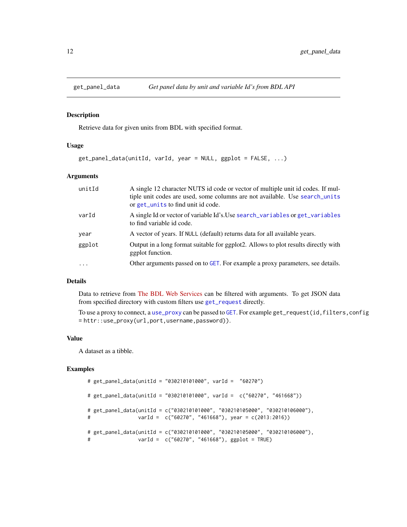<span id="page-11-0"></span>

Retrieve data for given units from BDL with specified format.

#### Usage

```
get_panel_data(unitId, varId, year = NULL, ggplot = FALSE, ...)
```
### Arguments

| unitId  | A single 12 character NUTS id code or vector of multiple unit id codes. If mul-<br>tiple unit codes are used, some columns are not available. Use search_units<br>or get_units to find unit id code. |
|---------|------------------------------------------------------------------------------------------------------------------------------------------------------------------------------------------------------|
| varId   | A single Id or vector of variable Id's. Use search_variables or get_variables<br>to find variable id code.                                                                                           |
| year    | A vector of years. If NULL (default) returns data for all available years.                                                                                                                           |
| ggplot  | Output in a long format suitable for ggplot2. Allows to plot results directly with<br>ggplot function.                                                                                               |
| $\cdot$ | Other arguments passed on to GET. For example a proxy parameters, see details.                                                                                                                       |

### Details

Data to retrieve from [The BDL Web Services](https://bdl.stat.gov.pl) can be filtered with arguments. To get JSON data from specified directory with custom filters use [get\\_request](#page-12-1) directly.

To use a proxy to connect, a [use\\_proxy](#page-0-0) can be passed to [GET](#page-0-0). For example get\_request(id,filters,config = httr::use\_proxy(url,port,username,password)).

### Value

A dataset as a tibble.

```
# get_panel_data(unitId = "030210101000", varId = "60270")
# get_panel_data(unitId = "030210101000", varId = c("60270", "461668"))
# get_panel_data(unitId = c("030210101000", "030210105000", "030210106000"),
# varId = c("60270", "461668"), year = c(2013:2016))
# get_panel_data(unitId = c("030210101000", "030210105000", "030210106000"),
# varId = c("60270", "461668"), ggplot = TRUE)
```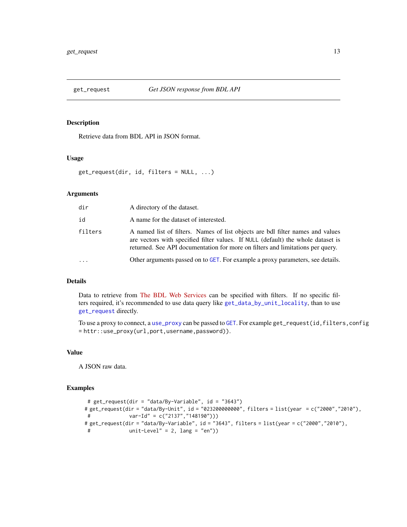<span id="page-12-1"></span><span id="page-12-0"></span>

Retrieve data from BDL API in JSON format.

### Usage

get\_request(dir, id, filters = NULL, ...)

### Arguments

| dir        | A directory of the dataset.                                                                                                                                                                                                                          |
|------------|------------------------------------------------------------------------------------------------------------------------------------------------------------------------------------------------------------------------------------------------------|
| id         | A name for the dataset of interested.                                                                                                                                                                                                                |
| filters    | A named list of filters. Names of list objects are bdl filter names and values<br>are vectors with specified filter values. If NULL (default) the whole dataset is<br>returned. See API documentation for more on filters and limitations per query. |
| $\ddots$ . | Other arguments passed on to GET. For example a proxy parameters, see details.                                                                                                                                                                       |

### Details

Data to retrieve from [The BDL Web Services](https://bdl.stat.gov.pl) can be specified with filters. If no specific filters required, it's recommended to use data query like [get\\_data\\_by\\_unit\\_locality](#page-7-1), than to use [get\\_request](#page-12-1) directly.

To use a proxy to connect, a [use\\_proxy](#page-0-0) can be passed to [GET](#page-0-0). For example get\_request(id,filters,config = httr::use\_proxy(url,port,username,password)).

#### Value

A JSON raw data.

```
# get_request(dir = "data/By-Variable", id = "3643")
# get_request(dir = "data/By-Unit", id = "023200000000", filters = list(year = c("2000","2010"),
# var-Id" = c("2137","148190")))
# get_request(dir = "data/By-Variable", id = "3643", filters = list(year = c("2000","2010"),
# unit-Level" = 2, lang = "en"))
```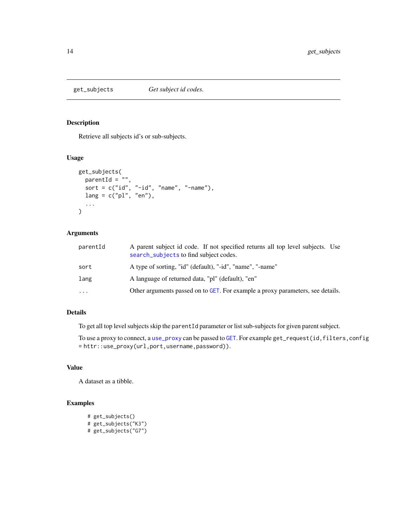<span id="page-13-1"></span><span id="page-13-0"></span>

Retrieve all subjects id's or sub-subjects.

### Usage

```
get_subjects(
 parentId = ",
 sort = c("id", "-id", "name", "-name",lang = c("pl", "en"),...
)
```
### Arguments

| parentId  | A parent subject id code. If not specified returns all top level subjects. Use<br>search_subjects to find subject codes. |
|-----------|--------------------------------------------------------------------------------------------------------------------------|
| sort      | A type of sorting, "id" (default), "-id", "name", "-name"                                                                |
| lang      | A language of returned data, "pl" (default), "en"                                                                        |
| $\ddotsc$ | Other arguments passed on to GET. For example a proxy parameters, see details.                                           |

### Details

To get all top level subjects skip the parentId parameter or list sub-subjects for given parent subject.

To use a proxy to connect, a [use\\_proxy](#page-0-0) can be passed to [GET](#page-0-0). For example get\_request(id,filters,config = httr::use\_proxy(url,port,username,password)).

### Value

A dataset as a tibble.

```
# get_subjects()
# get_subjects("K3")
# get_subjects("G7")
```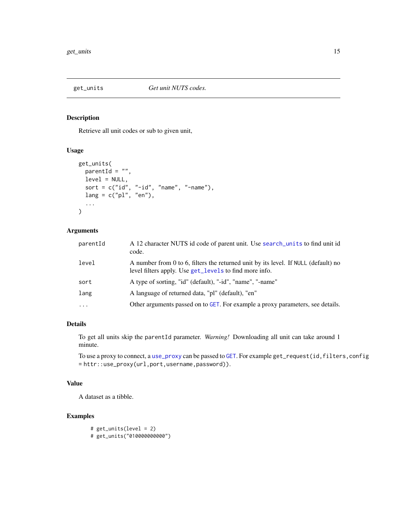<span id="page-14-1"></span><span id="page-14-0"></span>

Retrieve all unit codes or sub to given unit,

### Usage

```
get_units(
  parentId = ",
  level = NULL,sort = c("id", "-id", "name", "-name",lang = c("pl", "en"),...
\mathcal{L}
```
### Arguments

| parentId | A 12 character NUTS id code of parent unit. Use search_units to find unit id<br>code.                                                        |
|----------|----------------------------------------------------------------------------------------------------------------------------------------------|
| level    | A number from 0 to 6, filters the returned unit by its level. If NULL (default) no<br>level filters apply. Use get_levels to find more info. |
| sort     | A type of sorting, "id" (default), "-id", "name", "-name"                                                                                    |
| lang     | A language of returned data, "pl" (default), "en"                                                                                            |
| $\ddots$ | Other arguments passed on to GET. For example a proxy parameters, see details.                                                               |

### Details

To get all units skip the parentId parameter. *Warning!* Downloading all unit can take around 1 minute.

To use a proxy to connect, a [use\\_proxy](#page-0-0) can be passed to [GET](#page-0-0). For example get\_request(id,filters,config = httr::use\_proxy(url,port,username,password)).

### Value

A dataset as a tibble.

```
# get_units(level = 2)
# get_units("010000000000")
```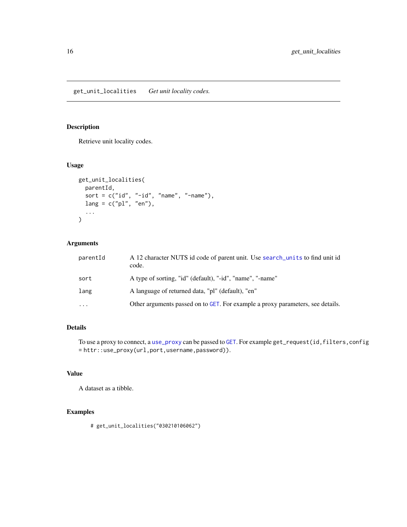<span id="page-15-1"></span><span id="page-15-0"></span>get\_unit\_localities *Get unit locality codes.*

### Description

Retrieve unit locality codes.

### Usage

```
get_unit_localities(
  parentId,
  sort = c("id", "-id", "name", "-name"),lang = c("pl", "en"),...
\mathcal{L}
```
### Arguments

| parentId | A 12 character NUTS id code of parent unit. Use search_units to find unit id<br>code. |
|----------|---------------------------------------------------------------------------------------|
| sort     | A type of sorting, "id" (default), "-id", "name", "-name"                             |
| lang     | A language of returned data, "pl" (default), "en"                                     |
| $\ddots$ | Other arguments passed on to GET. For example a proxy parameters, see details.        |

### Details

To use a proxy to connect, a [use\\_proxy](#page-0-0) can be passed to [GET](#page-0-0). For example get\_request(id,filters,config = httr::use\_proxy(url,port,username,password)).

### Value

A dataset as a tibble.

### Examples

# get\_unit\_localities("030210106062")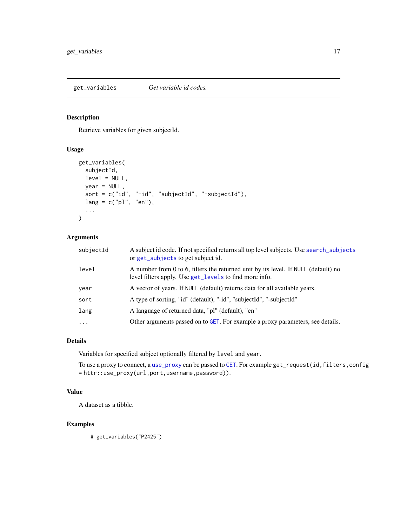<span id="page-16-1"></span><span id="page-16-0"></span>get\_variables *Get variable id codes.*

### Description

Retrieve variables for given subjectId.

### Usage

```
get_variables(
  subjectId,
  level = NULL,
 year = NULL,
  sort = c("id", "-id", "subjectId", "-subjectId"),
 lang = c("pl", "en"),...
)
```
### Arguments

| subjectId | A subject id code. If not specified returns all top level subjects. Use search_subjects<br>or get_subjects to get subject id.                |
|-----------|----------------------------------------------------------------------------------------------------------------------------------------------|
| level     | A number from 0 to 6, filters the returned unit by its level. If NULL (default) no<br>level filters apply. Use get_levels to find more info. |
| year      | A vector of years. If NULL (default) returns data for all available years.                                                                   |
| sort      | A type of sorting, "id" (default), "-id", "subjectId", "-subjectId"                                                                          |
| lang      | A language of returned data, "pl" (default), "en"                                                                                            |
| $\cdots$  | Other arguments passed on to GET. For example a proxy parameters, see details.                                                               |

### Details

Variables for specified subject optionally filtered by level and year.

To use a proxy to connect, a [use\\_proxy](#page-0-0) can be passed to [GET](#page-0-0). For example get\_request(id,filters,config = httr::use\_proxy(url,port,username,password)).

### Value

A dataset as a tibble.

### Examples

# get\_variables("P2425")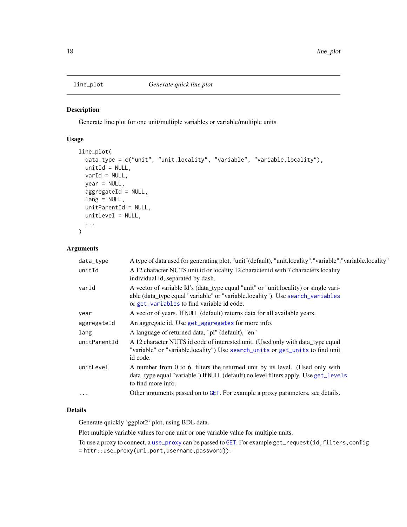<span id="page-17-0"></span>

Generate line plot for one unit/multiple variables or variable/multiple units

### Usage

```
line_plot(
 data_type = c("unit", "unit.locality", "variable", "variable.locality"),
 unitId = NULL,varId = NULL,year = NULL,
  aggregateId = NULL,
 lang = NULL,
 unitParentId = NULL,
 unitLevel = NULL,
  ...
)
```
### Arguments

| data_type    | A type of data used for generating plot, "unit" (default), "unit.locality", "variable", "variable.locality"                                                                                                          |
|--------------|----------------------------------------------------------------------------------------------------------------------------------------------------------------------------------------------------------------------|
| unitId       | A 12 character NUTS unit id or locality 12 character id with 7 characters locality<br>individual id, separated by dash.                                                                                              |
| varId        | A vector of variable Id's (data_type equal "unit" or "unit.locality) or single vari-<br>able (data_type equal "variable" or "variable.locality"). Use search_variables<br>or get_variables to find variable id code. |
| year         | A vector of years. If NULL (default) returns data for all available years.                                                                                                                                           |
| aggregateId  | An aggregate id. Use get_aggregates for more info.                                                                                                                                                                   |
| lang         | A language of returned data, "pl" (default), "en"                                                                                                                                                                    |
| unitParentId | A 12 character NUTS id code of interested unit. (Used only with data_type equal<br>"variable" or "variable.locality") Use search_units or get_units to find unit<br>id code.                                         |
| unitLevel    | A number from 0 to 6, filters the returned unit by its level. (Used only with<br>data_type equal "variable") If NULL (default) no level filters apply. Use get_levels<br>to find more info.                          |
| $\cdots$     | Other arguments passed on to GET. For example a proxy parameters, see details.                                                                                                                                       |

### Details

Generate quickly 'ggplot2' plot, using BDL data.

Plot multiple variable values for one unit or one variable value for multiple units.

To use a proxy to connect, a [use\\_proxy](#page-0-0) can be passed to [GET](#page-0-0). For example get\_request(id,filters,config = httr::use\_proxy(url,port,username,password)).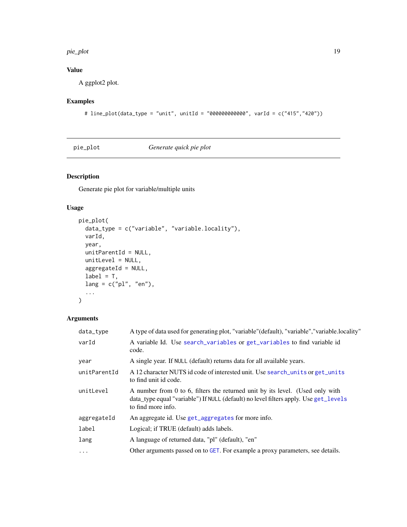#### <span id="page-18-0"></span>pie\_plot the state of the state of the state of the state of the state of the state of the state of the state of the state of the state of the state of the state of the state of the state of the state of the state of the s

### Value

A ggplot2 plot.

### Examples

```
# line_plot(data_type = "unit", unitId = "000000000000", varId = c("415","420"))
```
pie\_plot *Generate quick pie plot*

### Description

Generate pie plot for variable/multiple units

### Usage

```
pie_plot(
 data_type = c("variable", "variable.locality"),
 varId,
 year,
 unitParentId = NULL,
 unitLevel = NULL,
 aggregateId = NULL,
 label = T,lang = c("pl", "en"),...
\mathcal{L}
```

| data_type    | A type of data used for generating plot, "variable" (default), "variable", "variable.locality"                                                                                              |
|--------------|---------------------------------------------------------------------------------------------------------------------------------------------------------------------------------------------|
| varId        | A variable Id. Use search_variables or get_variables to find variable id<br>code.                                                                                                           |
| year         | A single year. If NULL (default) returns data for all available years.                                                                                                                      |
| unitParentId | A 12 character NUTS id code of interested unit. Use search_units or get_units<br>to find unit id code.                                                                                      |
| unitLevel    | A number from 0 to 6, filters the returned unit by its level. (Used only with<br>data_type equal "variable") If NULL (default) no level filters apply. Use get_levels<br>to find more info. |
| aggregateId  | An aggregate id. Use get_aggregates for more info.                                                                                                                                          |
| label        | Logical; if TRUE (default) adds labels.                                                                                                                                                     |
| lang         | A language of returned data, "pl" (default), "en"                                                                                                                                           |
| $\ddots$ .   | Other arguments passed on to GET. For example a proxy parameters, see details.                                                                                                              |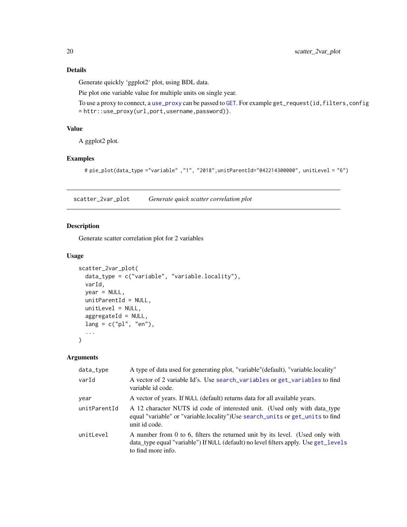<span id="page-19-0"></span>Generate quickly 'ggplot2' plot, using BDL data.

Pie plot one variable value for multiple units on single year.

To use a proxy to connect, a [use\\_proxy](#page-0-0) can be passed to [GET](#page-0-0). For example get\_request(id,filters,config = httr::use\_proxy(url,port,username,password)).

### Value

A ggplot2 plot.

### Examples

# pie\_plot(data\_type ="variable" ,"1", "2018",unitParentId="042214300000", unitLevel = "6")

scatter\_2var\_plot *Generate quick scatter correlation plot*

#### Description

Generate scatter correlation plot for 2 variables

### Usage

```
scatter_2var_plot(
  data_type = c("variable", "variable.locality"),
  varId,
 year = NULL,
  unitParentId = NULL,
  unitLevel = NULL,
  aggregateId = NULL,lang = c("pl", "en"),...
```
 $\mathcal{L}$ 

| data_type    | A type of data used for generating plot, "variable" (default), "variable. locality"                                                                                                         |
|--------------|---------------------------------------------------------------------------------------------------------------------------------------------------------------------------------------------|
| varId        | A vector of 2 variable Id's. Use search_variables or get_variables to find<br>variable id code.                                                                                             |
| year         | A vector of years. If NULL (default) returns data for all available years.                                                                                                                  |
| unitParentId | A 12 character NUTS id code of interested unit. (Used only with data type<br>equal "variable" or "variable.locality")Use search_units or get_units to find<br>unit id code.                 |
| unitLevel    | A number from 0 to 6, filters the returned unit by its level. (Used only with<br>data_type equal "variable") If NULL (default) no level filters apply. Use get_levels<br>to find more info. |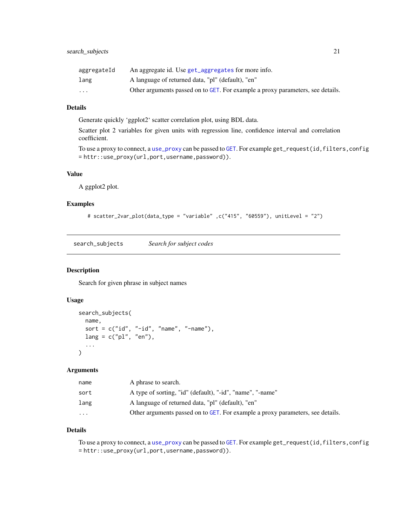<span id="page-20-0"></span>

| aggregateId             | An aggregate id. Use get_aggregates for more info.                             |
|-------------------------|--------------------------------------------------------------------------------|
| lang                    | A language of returned data, "pl" (default), "en"                              |
| $\cdot$ $\cdot$ $\cdot$ | Other arguments passed on to GET. For example a proxy parameters, see details. |

### Details

Generate quickly 'ggplot2' scatter correlation plot, using BDL data.

Scatter plot 2 variables for given units with regression line, confidence interval and correlation coefficient.

```
use_proxyGET. For example get_request(id,filters,config
= httr::use_proxy(url,port,username,password)).
```
### Value

A ggplot2 plot.

#### Examples

```
# scatter_2var_plot(data_type = "variable" ,c("415", "60559"), unitLevel = "2")
```
<span id="page-20-1"></span>search\_subjects *Search for subject codes*

### Description

Search for given phrase in subject names

### Usage

```
search_subjects(
 name,
  sort = c("id", "-id", "name", "-name"),lang = c("pl", "en"),...
)
```
#### Arguments

| name                    | A phrase to search.                                                            |
|-------------------------|--------------------------------------------------------------------------------|
| sort                    | A type of sorting, "id" (default), "-id", "name", "-name"                      |
| lang                    | A language of returned data, "pl" (default), "en"                              |
| $\cdot$ $\cdot$ $\cdot$ | Other arguments passed on to GET. For example a proxy parameters, see details. |

#### Details

To use a proxy to connect, a [use\\_proxy](#page-0-0) can be passed to [GET](#page-0-0). For example get\_request(id,filters,config = httr::use\_proxy(url,port,username,password)).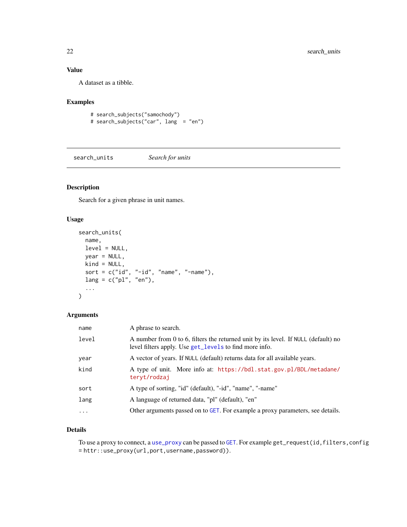### <span id="page-21-0"></span>Value

A dataset as a tibble.

### Examples

```
# search_subjects("samochody")
# search_subjects("car", lang = "en")
```
<span id="page-21-1"></span>search\_units *Search for units*

### Description

Search for a given phrase in unit names.

### Usage

```
search_units(
 name,
 level = NULL,
 year = NULL,
 kind = NULL,sort = c("id", "-id", "name", "-name",lang = c("pl", "en"),...
)
```
### Arguments

| name     | A phrase to search.                                                                                                                          |
|----------|----------------------------------------------------------------------------------------------------------------------------------------------|
| level    | A number from 0 to 6, filters the returned unit by its level. If NULL (default) no<br>level filters apply. Use get_levels to find more info. |
| vear     | A vector of years. If NULL (default) returns data for all available years.                                                                   |
| kind     | A type of unit. More info at: https://bdl.stat.gov.pl/BDL/metadane/<br>teryt/rodzaj                                                          |
| sort     | A type of sorting, "id" (default), "-id", "name", "-name"                                                                                    |
| lang     | A language of returned data, "pl" (default), "en"                                                                                            |
| $\cdots$ | Other arguments passed on to GET. For example a proxy parameters, see details.                                                               |

### Details

To use a proxy to connect, a [use\\_proxy](#page-0-0) can be passed to [GET](#page-0-0). For example get\_request(id,filters,config = httr::use\_proxy(url,port,username,password)).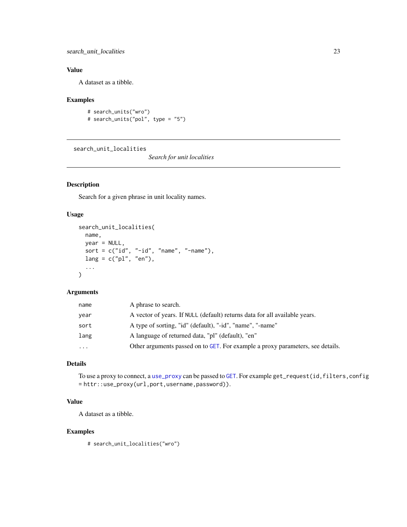<span id="page-22-0"></span>search\_unit\_localities 23

### Value

A dataset as a tibble.

### Examples

```
# search_units("wro")
# search_units("pol", type = "5")
```
<span id="page-22-1"></span>search\_unit\_localities

*Search for unit localities*

### Description

Search for a given phrase in unit locality names.

#### Usage

```
search_unit_localities(
 name,
 year = NULL,
 sort = c("id", "-id", "name", "-name"),lang = c("pl", "en"),...
)
```
### Arguments

| name     | A phrase to search.                                                            |
|----------|--------------------------------------------------------------------------------|
| year     | A vector of years. If NULL (default) returns data for all available years.     |
| sort     | A type of sorting, "id" (default), "-id", "name", "-name"                      |
| lang     | A language of returned data, "pl" (default), "en"                              |
| $\cdots$ | Other arguments passed on to GET. For example a proxy parameters, see details. |
|          |                                                                                |

### Details

To use a proxy to connect, a [use\\_proxy](#page-0-0) can be passed to [GET](#page-0-0). For example get\_request(id,filters,config = httr::use\_proxy(url,port,username,password)).

### Value

A dataset as a tibble.

### Examples

# search\_unit\_localities("wro")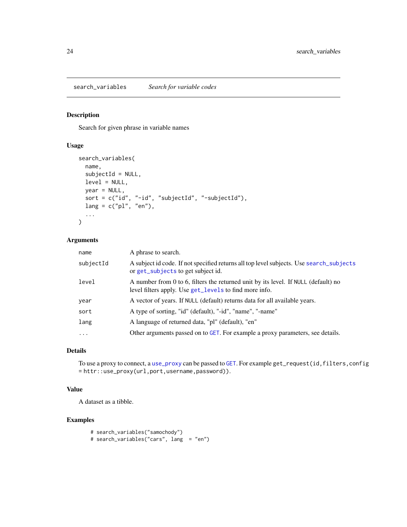<span id="page-23-1"></span><span id="page-23-0"></span>Search for given phrase in variable names

#### Usage

```
search_variables(
 name,
  subjectId = NULL,
 level = NULL,
 year = NULL,
 sort = c("id", "-id", "subjectId", "-subjectId"),
 lang = c("pl", "en"),...
)
```
#### Arguments

| name      | A phrase to search.                                                                                                                          |
|-----------|----------------------------------------------------------------------------------------------------------------------------------------------|
| subjectId | A subject id code. If not specified returns all top level subjects. Use search_subjects<br>or get_subjects to get subject id.                |
| level     | A number from 0 to 6, filters the returned unit by its level. If NULL (default) no<br>level filters apply. Use get_levels to find more info. |
| year      | A vector of years. If NULL (default) returns data for all available years.                                                                   |
| sort      | A type of sorting, "id" (default), "-id", "name", "-name"                                                                                    |
| lang      | A language of returned data, "pl" (default), "en"                                                                                            |
| $\cdot$   | Other arguments passed on to GET. For example a proxy parameters, see details.                                                               |

### Details

To use a proxy to connect, a [use\\_proxy](#page-0-0) can be passed to [GET](#page-0-0). For example get\_request(id,filters,config = httr::use\_proxy(url,port,username,password)).

### Value

A dataset as a tibble.

```
# search_variables("samochody")
# search_variables("cars", lang = "en")
```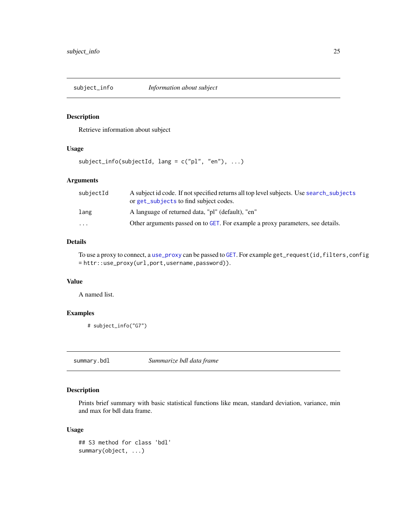<span id="page-24-0"></span>

Retrieve information about subject

### Usage

 $subject_info(subjectId, lang = c("pl", "en"), ...)$ 

### Arguments

| subjectId               | A subject id code. If not specified returns all top level subjects. Use search_subjects<br>or get_subjects to find subject codes. |
|-------------------------|-----------------------------------------------------------------------------------------------------------------------------------|
| lang                    | A language of returned data, "pl" (default), "en"                                                                                 |
| $\cdot$ $\cdot$ $\cdot$ | Other arguments passed on to GET. For example a proxy parameters, see details.                                                    |

### Details

To use a proxy to connect, a [use\\_proxy](#page-0-0) can be passed to [GET](#page-0-0). For example get\_request(id,filters,config = httr::use\_proxy(url,port,username,password)).

### Value

A named list.

### Examples

```
# subject_info("G7")
```
summary.bdl *Summarize bdl data frame*

### Description

Prints brief summary with basic statistical functions like mean, standard deviation, variance, min and max for bdl data frame.

### Usage

```
## S3 method for class 'bdl'
summary(object, ...)
```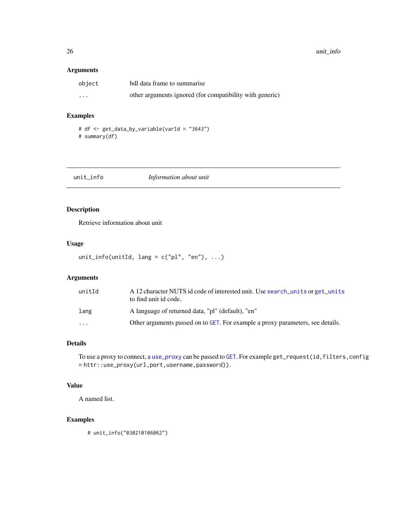### <span id="page-25-0"></span>Arguments

| object                  | bdl data frame to summarise                              |
|-------------------------|----------------------------------------------------------|
| $\cdot$ $\cdot$ $\cdot$ | other arguments ignored (for compatibility with generic) |

### Examples

# df <- get\_data\_by\_variable(varId = "3643") # summary(df)

| unit_info | Information about unit |
|-----------|------------------------|
|           |                        |

### Description

Retrieve information about unit

### Usage

```
unit_info(unitId, lang = c("pl", "en"), ...)
```
### Arguments

| unitId                  | A 12 character NUTS id code of interested unit. Use search units or get units<br>to find unit id code. |
|-------------------------|--------------------------------------------------------------------------------------------------------|
| lang                    | A language of returned data, "pl" (default), "en"                                                      |
| $\cdot$ $\cdot$ $\cdot$ | Other arguments passed on to GET. For example a proxy parameters, see details.                         |

#### Details

To use a proxy to connect, a [use\\_proxy](#page-0-0) can be passed to [GET](#page-0-0). For example get\_request(id,filters,config = httr::use\_proxy(url,port,username,password)).

### Value

A named list.

### Examples

# unit\_info("030210106062")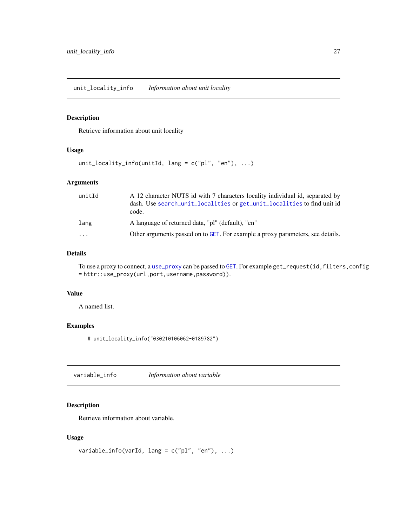<span id="page-26-0"></span>Retrieve information about unit locality

### Usage

```
unit_locality_info(unitId, lang = c("pl", "en"), ...)
```
### Arguments

| unitId                  | A 12 character NUTS id with 7 characters locality individual id, separated by<br>dash. Use search_unit_localities or get_unit_localities to find unit id<br>code. |
|-------------------------|-------------------------------------------------------------------------------------------------------------------------------------------------------------------|
| lang                    | A language of returned data, "pl" (default), "en"                                                                                                                 |
| $\cdot$ $\cdot$ $\cdot$ | Other arguments passed on to GET. For example a proxy parameters, see details.                                                                                    |

### Details

To use a proxy to connect, a [use\\_proxy](#page-0-0) can be passed to [GET](#page-0-0). For example get\_request(id,filters,config = httr::use\_proxy(url,port,username,password)).

### Value

A named list.

### Examples

# unit\_locality\_info("030210106062-0189782")

variable\_info *Information about variable*

### Description

Retrieve information about variable.

### Usage

```
variable_info(varId, lang = c("pl", "en"), ...)
```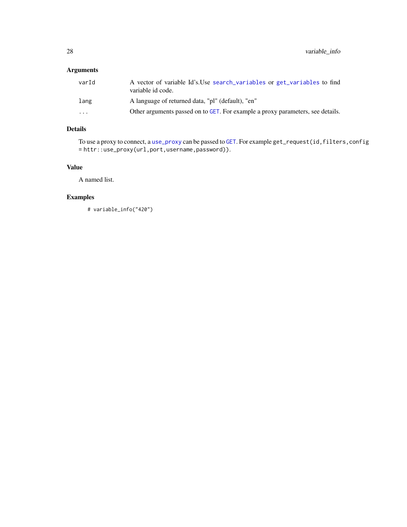### <span id="page-27-0"></span>Arguments

| varId                   | A vector of variable Id's. Use search variables or get variables to find<br>variable id code. |
|-------------------------|-----------------------------------------------------------------------------------------------|
| lang                    | A language of returned data, "pl" (default), "en"                                             |
| $\cdot$ $\cdot$ $\cdot$ | Other arguments passed on to GET. For example a proxy parameters, see details.                |

### Details

To use a proxy to connect, a [use\\_proxy](#page-0-0) can be passed to [GET](#page-0-0). For example get\_request(id,filters,config = httr::use\_proxy(url,port,username,password)).

### Value

A named list.

### Examples

# variable\_info("420")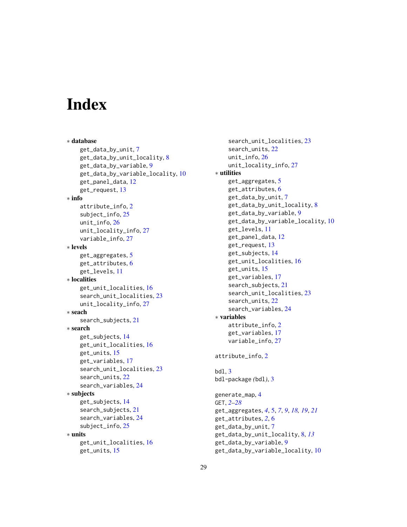# <span id="page-28-0"></span>**Index**

∗ database get\_data\_by\_unit, [7](#page-6-0) get\_data\_by\_unit\_locality, [8](#page-7-0) get\_data\_by\_variable, [9](#page-8-0) get\_data\_by\_variable\_locality, [10](#page-9-0) get\_panel\_data, [12](#page-11-0) get\_request, [13](#page-12-0) ∗ info attribute\_info, [2](#page-1-0) subject\_info, [25](#page-24-0) unit\_info, [26](#page-25-0) unit\_locality\_info, [27](#page-26-0) variable\_info, [27](#page-26-0) ∗ levels get\_aggregates, [5](#page-4-0) get\_attributes, [6](#page-5-0) get\_levels, [11](#page-10-0) ∗ localities get\_unit\_localities, [16](#page-15-0) search\_unit\_localities, [23](#page-22-0) unit\_locality\_info, [27](#page-26-0) ∗ seach search\_subjects, [21](#page-20-0) ∗ search get\_subjects, [14](#page-13-0) get\_unit\_localities, [16](#page-15-0) get\_units, [15](#page-14-0) get\_variables, [17](#page-16-0) search\_unit\_localities, [23](#page-22-0) search\_units, [22](#page-21-0) search\_variables, [24](#page-23-0) ∗ subjects get\_subjects, [14](#page-13-0) search\_subjects, [21](#page-20-0) search\_variables, [24](#page-23-0) subject\_info, [25](#page-24-0) ∗ units get\_unit\_localities, [16](#page-15-0) get\_units, [15](#page-14-0)

search\_unit\_localities, [23](#page-22-0) search\_units, [22](#page-21-0) unit\_info, [26](#page-25-0) unit\_locality\_info, [27](#page-26-0) ∗ utilities get\_aggregates, [5](#page-4-0) get\_attributes, [6](#page-5-0) get\_data\_by\_unit, [7](#page-6-0) get\_data\_by\_unit\_locality, [8](#page-7-0) get\_data\_by\_variable, [9](#page-8-0) get\_data\_by\_variable\_locality, [10](#page-9-0) get\_levels, [11](#page-10-0) get\_panel\_data, [12](#page-11-0) get\_request, [13](#page-12-0) get\_subjects, [14](#page-13-0) get\_unit\_localities, [16](#page-15-0) get\_units, [15](#page-14-0) get\_variables, [17](#page-16-0) search\_subjects, [21](#page-20-0) search\_unit\_localities, [23](#page-22-0) search\_units, [22](#page-21-0) search\_variables, [24](#page-23-0) ∗ variables attribute\_info, [2](#page-1-0) get\_variables, [17](#page-16-0) variable\_info, [27](#page-26-0) attribute\_info, [2](#page-1-0) bdl, [3](#page-2-0) bdl-package *(*bdl*)*, [3](#page-2-0) generate\_map, [4](#page-3-0) GET, *[2–](#page-1-0)[28](#page-27-0)* get\_aggregates, *[4](#page-3-0)*, [5,](#page-4-0) *[7](#page-6-0)*, *[9](#page-8-0)*, *[18,](#page-17-0) [19](#page-18-0)*, *[21](#page-20-0)* get\_attributes, *[2](#page-1-0)*, [6](#page-5-0) get\_data\_by\_unit, [7](#page-6-0) get\_data\_by\_unit\_locality, [8,](#page-7-0) *[13](#page-12-0)* get\_data\_by\_variable, [9](#page-8-0) get\_data\_by\_variable\_locality, [10](#page-9-0)